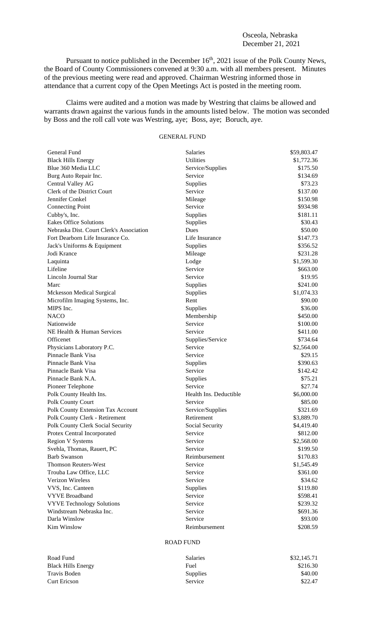## Osceola, Nebraska December 21, 2021

Pursuant to notice published in the December 16<sup>th</sup>, 2021 issue of the Polk County News, the Board of County Commissioners convened at 9:30 a.m. with all members present. Minutes of the previous meeting were read and approved. Chairman Westring informed those in attendance that a current copy of the Open Meetings Act is posted in the meeting room.

Claims were audited and a motion was made by Westring that claims be allowed and warrants drawn against the various funds in the amounts listed below. The motion was seconded by Boss and the roll call vote was Westring, aye; Boss, aye; Boruch, aye.

## GENERAL FUND

| General Fund                             | <b>Salaries</b>        | \$59,803.47 |
|------------------------------------------|------------------------|-------------|
| <b>Black Hills Energy</b>                | <b>Utilities</b>       | \$1,772.36  |
| Blue 360 Media LLC                       | Service/Supplies       | \$175.50    |
| Burg Auto Repair Inc.                    | Service                | \$134.69    |
| Central Valley AG                        | Supplies               | \$73.23     |
| Clerk of the District Court              | Service                | \$137.00    |
| Jennifer Conkel                          | Mileage                | \$150.98    |
| <b>Connecting Point</b>                  | Service                | \$934.98    |
| Cubby's, Inc.                            | Supplies               | \$181.11    |
| <b>Eakes Office Solutions</b>            | Supplies               | \$30.43     |
| Nebraska Dist. Court Clerk's Association | Dues                   | \$50.00     |
| Fort Dearborn Life Insurance Co.         | Life Insurance         | \$147.73    |
| Jack's Uniforms & Equipment              | Supplies               | \$356.52    |
| Jodi Krance                              | Mileage                | \$231.28    |
| Laquinta                                 | Lodge                  | \$1,599.30  |
| Lifeline                                 | Service                | \$663.00    |
| Lincoln Journal Star                     | Service                | \$19.95     |
| Marc                                     | Supplies               | \$241.00    |
| <b>Mckesson Medical Surgical</b>         | Supplies               | \$1,074.33  |
| Microfilm Imaging Systems, Inc.          | Rent                   | \$90.00     |
| MIPS Inc.                                | Supplies               | \$36.00     |
| <b>NACO</b>                              | Membership             | \$450.00    |
| Nationwide                               | Service                | \$100.00    |
| NE Health & Human Services               | Service                | \$411.00    |
| Officenet                                | Supplies/Service       | \$734.64    |
| Physicians Laboratory P.C.               | Service                | \$2,564.00  |
| Pinnacle Bank Visa                       | Service                | \$29.15     |
| Pinnacle Bank Visa                       | Supplies               | \$390.63    |
| Pinnacle Bank Visa                       | Service                | \$142.42    |
| Pinnacle Bank N.A.                       | Supplies               | \$75.21     |
| Pioneer Telephone                        | Service                | \$27.74     |
| Polk County Health Ins.                  | Health Ins. Deductible | \$6,000.00  |
| Polk County Court                        | Service                | \$85.00     |
| Polk County Extension Tax Account        | Service/Supplies       | \$321.69    |
| Polk County Clerk - Retirement           | Retirement             | \$3,889.70  |
| Polk County Clerk Social Security        | Social Security        | \$4,419.40  |
| Protex Central Incorporated              | Service                | \$812.00    |
| <b>Region V Systems</b>                  | Service                | \$2,568.00  |
| Svehla, Thomas, Rauert, PC               | Service                | \$199.50    |
| <b>Barb Swanson</b>                      | Reimbursement          | \$170.83    |
| <b>Thomson Reuters-West</b>              | Service                | \$1,545.49  |
| Trouba Law Office, LLC                   | Service                | \$361.00    |
| Verizon Wireless                         | Service                | \$34.62     |
| VVS, Inc. Canteen                        | Supplies               | \$119.80    |
| <b>VYVE Broadband</b>                    | Service                | \$598.41    |
| <b>VYVE Technology Solutions</b>         | Service                | \$239.32    |
| Windstream Nebraska Inc.                 | Service                | \$691.36    |
| Darla Winslow                            | Service                | \$93.00     |
| Kim Winslow                              | Reimbursement          | \$208.59    |

## ROAD FUND

| Road Fund                 | <b>Salaries</b> | \$32,145.71 |
|---------------------------|-----------------|-------------|
| <b>Black Hills Energy</b> | Fuel            | \$216.30    |
| Travis Boden              | <b>Supplies</b> | \$40.00     |
| <b>Curt Ericson</b>       | Service         | \$22.47     |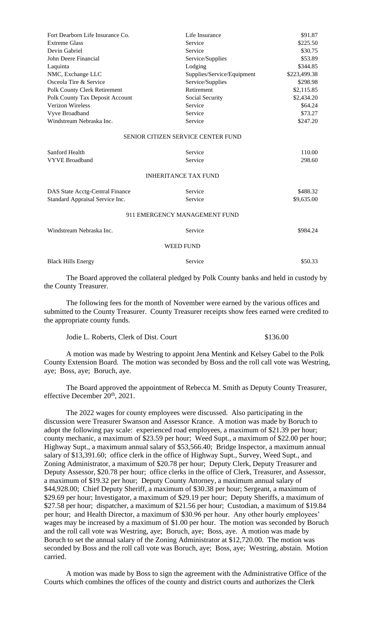| Fort Dearborn Life Insurance Co. | Life Insurance                            | \$91.87      |
|----------------------------------|-------------------------------------------|--------------|
| <b>Extreme Glass</b>             | Service                                   | \$225.50     |
| Devin Gabriel                    | Service                                   | \$30.75      |
| John Deere Financial             | Service/Supplies                          | \$53.89      |
| Laquinta                         | Lodging                                   | \$344.85     |
| NMC, Exchange LLC                | Supplies/Service/Equipment                | \$223,499.38 |
| Osceola Tire & Service           | Service/Supplies                          | \$298.98     |
| Polk County Clerk Retirement     | Retirement                                | \$2,115.85   |
| Polk County Tax Deposit Account  | Social Security                           | \$2,434.20   |
| Verizon Wireless                 | Service                                   | \$64.24      |
| Vyve Broadband                   | Service                                   | \$73.27      |
| Windstream Nebraska Inc.         | Service                                   | \$247.20     |
|                                  | <b>SENIOR CITIZEN SERVICE CENTER FUND</b> |              |
| Sanford Health                   | Service                                   | 110.00       |
| <b>VYVE Broadband</b>            | Service                                   | 298.60       |
|                                  | <b>INHERITANCE TAX FUND</b>               |              |
| DAS State Acctg-Central Finance  | Service                                   | \$488.32     |
| Standard Appraisal Service Inc.  | Service                                   | \$9,635.00   |
|                                  | 911 EMERGENCY MANAGEMENT FUND             |              |
| Windstream Nebraska Inc.         | Service                                   | \$984.24     |
|                                  | <b>WEED FUND</b>                          |              |
| <b>Black Hills Energy</b>        | Service                                   | \$50.33      |

The Board approved the collateral pledged by Polk County banks and held in custody by the County Treasurer.

The following fees for the month of November were earned by the various offices and submitted to the County Treasurer. County Treasurer receipts show fees earned were credited to the appropriate county funds.

Jodie L. Roberts, Clerk of Dist. Court \$136.00

A motion was made by Westring to appoint Jena Mentink and Kelsey Gabel to the Polk County Extension Board. The motion was seconded by Boss and the roll call vote was Westring, aye; Boss, aye; Boruch, aye.

The Board approved the appointment of Rebecca M. Smith as Deputy County Treasurer, effective December 20<sup>th</sup>, 2021.

The 2022 wages for county employees were discussed. Also participating in the discussion were Treasurer Swanson and Assessor Krance. A motion was made by Boruch to adopt the following pay scale: experienced road employees, a maximum of \$21.39 per hour; county mechanic, a maximum of \$23.59 per hour; Weed Supt., a maximum of \$22.00 per hour; Highway Supt., a maximum annual salary of \$53,566.40; Bridge Inspector, a maximum annual salary of \$13,391.60; office clerk in the office of Highway Supt., Survey, Weed Supt., and Zoning Administrator, a maximum of \$20.78 per hour; Deputy Clerk, Deputy Treasurer and Deputy Assessor, \$20.78 per hour; office clerks in the office of Clerk, Treasurer, and Assessor, a maximum of \$19.32 per hour; Deputy County Attorney, a maximum annual salary of \$44,928.00; Chief Deputy Sheriff, a maximum of \$30.38 per hour; Sergeant, a maximum of \$29.69 per hour; Investigator, a maximum of \$29.19 per hour; Deputy Sheriffs, a maximum of \$27.58 per hour; dispatcher, a maximum of \$21.56 per hour; Custodian, a maximum of \$19.84 per hour; and Health Director, a maximum of \$30.96 per hour. Any other hourly employees' wages may be increased by a maximum of \$1.00 per hour. The motion was seconded by Boruch and the roll call vote was Westring, aye; Boruch, aye; Boss, aye. A motion was made by Boruch to set the annual salary of the Zoning Administrator at \$12,720.00. The motion was seconded by Boss and the roll call vote was Boruch, aye; Boss, aye; Westring, abstain. Motion carried.

A motion was made by Boss to sign the agreement with the Administrative Office of the Courts which combines the offices of the county and district courts and authorizes the Clerk